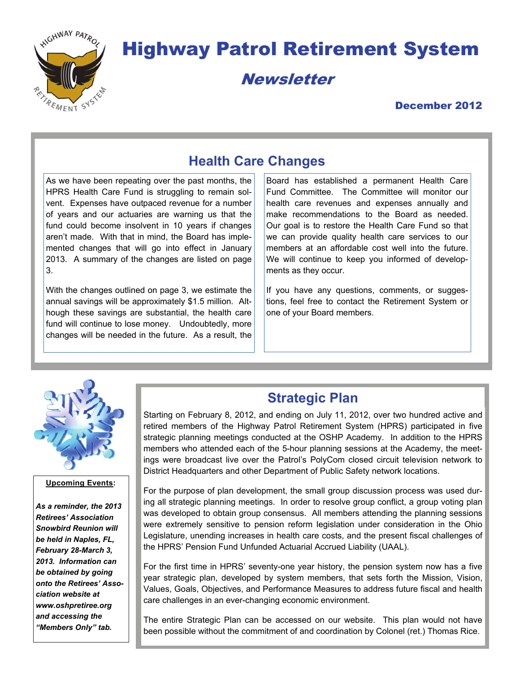

# Highway Patrol Retirement System

Newsletter

## December 2012

# **Health Care Changes**

As we have been repeating over the past months, the HPRS Health Care Fund is struggling to remain solvent. Expenses have outpaced revenue for a number of years and our actuaries are warning us that the fund could become insolvent in 10 years if changes aren't made. With that in mind, the Board has implemented changes that will go into effect in January 2013. A summary of the changes are listed on page 3.

With the changes outlined on page 3, we estimate the annual savings will be approximately \$1.5 million. Although these savings are substantial, the health care fund will continue to lose money. Undoubtedly, more changes will be needed in the future. As a result, the

Board has established a permanent Health Care Fund Committee. The Committee will monitor our health care revenues and expenses annually and make recommendations to the Board as needed. Our goal is to restore the Health Care Fund so that we can provide quality health care services to our members at an affordable cost well into the future. We will continue to keep you informed of developments as they occur.

If you have any questions, comments, or suggestions, feel free to contact the Retirement System or one of your Board members.



#### **Upcoming Events:**

*As a reminder, the 2013 Retirees' Association Snowbird Reunion will be held in Naples, FL, February 28-March 3, 2013. Information can be obtained by going onto the Retirees' Association website at www.oshpretiree.org and accessing the "Members Only" tab.* 

## **Strategic Plan**

Starting on February 8, 2012, and ending on July 11, 2012, over two hundred active and retired members of the Highway Patrol Retirement System (HPRS) participated in five strategic planning meetings conducted at the OSHP Academy. In addition to the HPRS members who attended each of the 5-hour planning sessions at the Academy, the meetings were broadcast live over the Patrol's PolyCom closed circuit television network to District Headquarters and other Department of Public Safety network locations.

For the purpose of plan development, the small group discussion process was used during all strategic planning meetings. In order to resolve group conflict, a group voting plan was developed to obtain group consensus. All members attending the planning sessions were extremely sensitive to pension reform legislation under consideration in the Ohio Legislature, unending increases in health care costs, and the present fiscal challenges of the HPRS' Pension Fund Unfunded Actuarial Accrued Liability (UAAL).

For the first time in HPRS' seventy-one year history, the pension system now has a five year strategic plan, developed by system members, that sets forth the Mission, Vision, Values, Goals, Objectives, and Performance Measures to address future fiscal and health care challenges in an ever-changing economic environment.

The entire Strategic Plan can be accessed on our website. This plan would not have been possible without the commitment of and coordination by Colonel (ret.) Thomas Rice.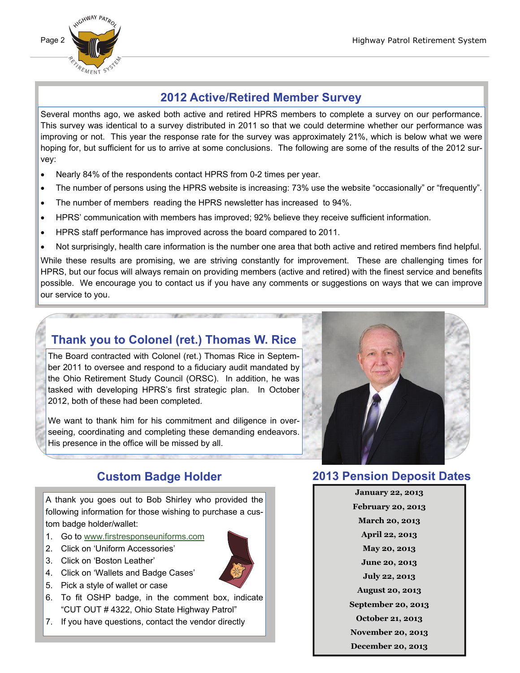

# **2012 Active/Retired Member Survey**

Several months ago, we asked both active and retired HPRS members to complete a survey on our performance. This survey was identical to a survey distributed in 2011 so that we could determine whether our performance was improving or not. This year the response rate for the survey was approximately 21%, which is below what we were hoping for, but sufficient for us to arrive at some conclusions. The following are some of the results of the 2012 survey:

- Nearly 84% of the respondents contact HPRS from 0-2 times per year.
- The number of persons using the HPRS website is increasing: 73% use the website "occasionally" or "frequently".
- The number of members reading the HPRS newsletter has increased to 94%.
- HPRS' communication with members has improved; 92% believe they receive sufficient information.
- HPRS staff performance has improved across the board compared to 2011.
- Not surprisingly, health care information is the number one area that both active and retired members find helpful.

While these results are promising, we are striving constantly for improvement. These are challenging times for HPRS, but our focus will always remain on providing members (active and retired) with the finest service and benefits possible. We encourage you to contact us if you have any comments or suggestions on ways that we can improve our service to you.

# **Thank you to Colonel (ret.) Thomas W. Rice**

The Board contracted with Colonel (ret.) Thomas Rice in September 2011 to oversee and respond to a fiduciary audit mandated by the Ohio Retirement Study Council (ORSC). In addition, he was tasked with developing HPRS's first strategic plan. In October 2012, both of these had been completed.

We want to thank him for his commitment and diligence in overseeing, coordinating and completing these demanding endeavors. His presence in the office will be missed by all.



## **Custom Badge Holder**

A thank you goes out to Bob Shirley who provided the following information for those wishing to purchase a custom badge holder/wallet:

- 1. Go to [www.firstresponseuniforms.com](http://www.firstresponseuniforms.com)
- 2. Click on 'Uniform Accessories'
- 3. Click on 'Boston Leather'
- 4. Click on 'Wallets and Badge Cases'
- 5. Pick a style of wallet or case
- 6. To fit OSHP badge, in the comment box, indicate "CUT OUT # 4322, Ohio State Highway Patrol"
- 7. If you have questions, contact the vendor directly

### **2013 Pension Deposit Dates**

**January 22, 2013 February 20, 2013 March 20, 2013 April 22, 2013 May 20, 2013 June 20, 2013 July 22, 2013 August 20, 2013 September 20, 2013 October 21, 2013 November 20, 2013 December 20, 2013** 

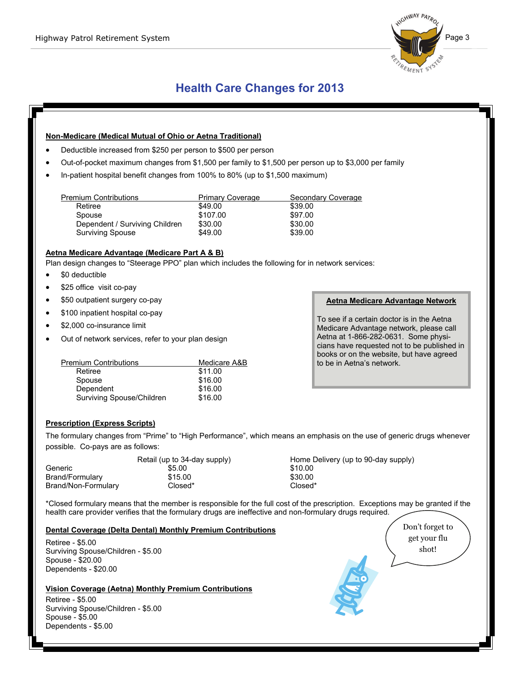

# **Health Care Changes for 2013**

#### **Non-Medicare (Medical Mutual of Ohio or Aetna Traditional)**

- Deductible increased from \$250 per person to \$500 per person
- Out-of-pocket maximum changes from \$1,500 per family to \$1,500 per person up to \$3,000 per family
- In-patient hospital benefit changes from 100% to 80% (up to \$1,500 maximum)

| <b>Premium Contributions</b>   | <b>Primary Coverage</b> | Secondary Coverage |
|--------------------------------|-------------------------|--------------------|
| Retiree                        | \$49.00                 | \$39.00            |
| Spouse                         | \$107.00                | \$97.00            |
| Dependent / Surviving Children | \$30.00                 | \$30.00            |
| Surviving Spouse               | \$49.00                 | \$39.00            |

#### **Aetna Medicare Advantage (Medicare Part A & B)**

Plan design changes to "Steerage PPO" plan which includes the following for in network services:

- \$0 deductible
- \$25 office visit co-pay
- \$50 outpatient surgery co-pay
- \$100 inpatient hospital co-pay
- \$2,000 co-insurance limit
- Out of network services, refer to your plan design

| <b>Premium Contributions</b> | Medicare A&B |
|------------------------------|--------------|
| Retiree                      | \$11.00      |
| Spouse                       | \$16.00      |
| Dependent                    | \$16.00      |
| Surviving Spouse/Children    | \$16.00      |

#### **Prescription (Express Scripts)**

The formulary changes from "Prime" to "High Performance", which means an emphasis on the use of generic drugs whenever possible. Co-pays are as follows:

|                     | Retail (up to 34-day supply) | Home Delivery (up to 90-day supply) |
|---------------------|------------------------------|-------------------------------------|
| Generic             | \$5.00                       | \$10.00                             |
| Brand/Formulary     | \$15.00                      | \$30.00                             |
| Brand/Non-Formulary | Closed*                      | Closed*                             |

\*Closed formulary means that the member is responsible for the full cost of the prescription. Exceptions may be granted if the health care provider verifies that the formulary drugs are ineffective and non-formulary drugs required.

#### **Dental Coverage (Delta Dental) Monthly Premium Contributions**

Retiree - \$5.00 Surviving Spouse/Children - \$5.00 Spouse - \$20.00 Dependents - \$20.00

#### **Vision Coverage (Aetna) Monthly Premium Contributions**

Retiree - \$5.00 Surviving Spouse/Children - \$5.00 Spouse - \$5.00 Dependents - \$5.00

Don't forget to get your flu shot!

#### **Aetna Medicare Advantage Network**

To see if a certain doctor is in the Aetna Medicare Advantage network, please call Aetna at 1-866-282-0631. Some physicians have requested not to be published in books or on the website, but have agreed to be in Aetna's network.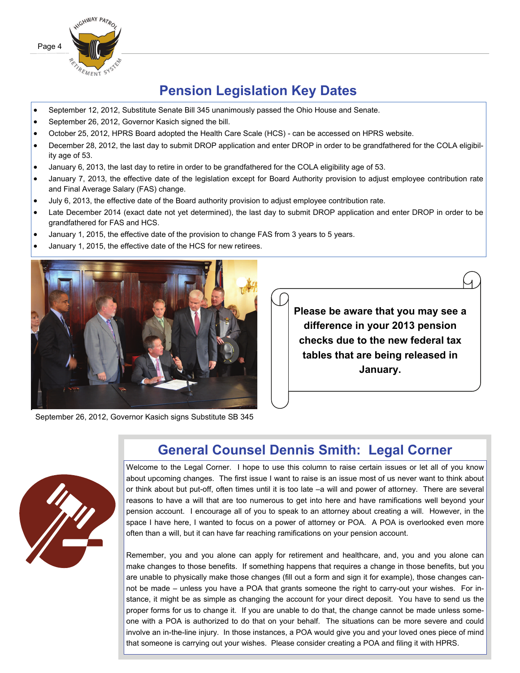

# **Pension Legislation Key Dates**

- September 12, 2012, Substitute Senate Bill 345 unanimously passed the Ohio House and Senate.
- September 26, 2012, Governor Kasich signed the bill.
- October 25, 2012, HPRS Board adopted the Health Care Scale (HCS) can be accessed on HPRS website.
- December 28, 2012, the last day to submit DROP application and enter DROP in order to be grandfathered for the COLA eligibility age of 53.
- January 6, 2013, the last day to retire in order to be grandfathered for the COLA eligibility age of 53.
- January 7, 2013, the effective date of the legislation except for Board Authority provision to adjust employee contribution rate and Final Average Salary (FAS) change.
- July 6, 2013, the effective date of the Board authority provision to adjust employee contribution rate.
- Late December 2014 (exact date not yet determined), the last day to submit DROP application and enter DROP in order to be grandfathered for FAS and HCS.
- January 1, 2015, the effective date of the provision to change FAS from 3 years to 5 years.
- January 1, 2015, the effective date of the HCS for new retirees.



September 26, 2012, Governor Kasich signs Substitute SB 345



# **General Counsel Dennis Smith: Legal Corner**

**Please be aware that you may see a difference in your 2013 pension checks due to the new federal tax tables that are being released in January.** 

Welcome to the Legal Corner. I hope to use this column to raise certain issues or let all of you know about upcoming changes. The first issue I want to raise is an issue most of us never want to think about or think about but put-off, often times until it is too late –a will and power of attorney. There are several reasons to have a will that are too numerous to get into here and have ramifications well beyond your pension account. I encourage all of you to speak to an attorney about creating a will. However, in the space I have here, I wanted to focus on a power of attorney or POA. A POA is overlooked even more often than a will, but it can have far reaching ramifications on your pension account.

Remember, you and you alone can apply for retirement and healthcare, and, you and you alone can make changes to those benefits. If something happens that requires a change in those benefits, but you are unable to physically make those changes (fill out a form and sign it for example), those changes cannot be made – unless you have a POA that grants someone the right to carry-out your wishes. For instance, it might be as simple as changing the account for your direct deposit. You have to send us the proper forms for us to change it. If you are unable to do that, the change cannot be made unless someone with a POA is authorized to do that on your behalf. The situations can be more severe and could involve an in-the-line injury. In those instances, a POA would give you and your loved ones piece of mind that someone is carrying out your wishes. Please consider creating a POA and filing it with HPRS.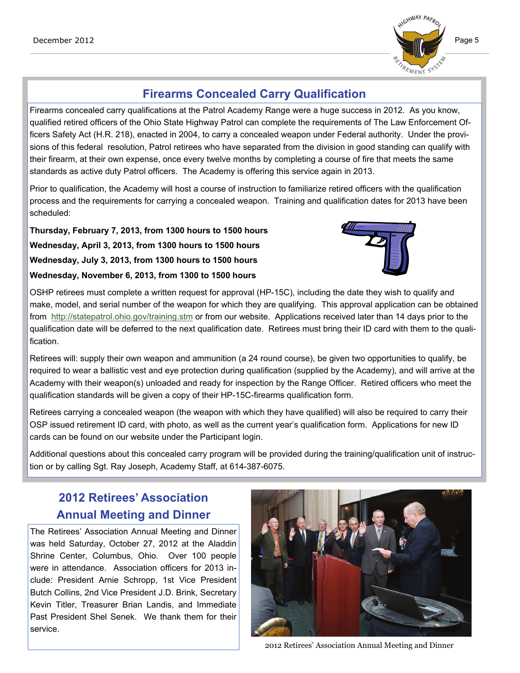

# **Firearms Concealed Carry Qualification**

Firearms concealed carry qualifications at the Patrol Academy Range were a huge success in 2012. As you know, qualified retired officers of the Ohio State Highway Patrol can complete the requirements of The Law Enforcement Officers Safety Act (H.R. 218), enacted in 2004, to carry a concealed weapon under Federal authority. Under the provisions of this federal resolution, Patrol retirees who have separated from the division in good standing can qualify with their firearm, at their own expense, once every twelve months by completing a course of fire that meets the same standards as active duty Patrol officers. The Academy is offering this service again in 2013.

Prior to qualification, the Academy will host a course of instruction to familiarize retired officers with the qualification process and the requirements for carrying a concealed weapon. Training and qualification dates for 2013 have been scheduled:

**Thursday, February 7, 2013, from 1300 hours to 1500 hours Wednesday, April 3, 2013, from 1300 hours to 1500 hours Wednesday, July 3, 2013, from 1300 hours to 1500 hours Wednesday, November 6, 2013, from 1300 to 1500 hours** 



OSHP retirees must complete a written request for approval (HP-15C), including the date they wish to qualify and make, model, and serial number of the weapon for which they are qualifying. This approval application can be obtained from <http://statepatrol.ohio.gov/training.stm> or from our website. Applications received later than 14 days prior to the qualification date will be deferred to the next qualification date. Retirees must bring their ID card with them to the qualification.

Retirees will: supply their own weapon and ammunition (a 24 round course), be given two opportunities to qualify, be required to wear a ballistic vest and eye protection during qualification (supplied by the Academy), and will arrive at the Academy with their weapon(s) unloaded and ready for inspection by the Range Officer. Retired officers who meet the qualification standards will be given a copy of their HP-15C-firearms qualification form.

Retirees carrying a concealed weapon (the weapon with which they have qualified) will also be required to carry their OSP issued retirement ID card, with photo, as well as the current year's qualification form. Applications for new ID cards can be found on our website under the Participant login.

Additional questions about this concealed carry program will be provided during the training/qualification unit of instruction or by calling Sgt. Ray Joseph, Academy Staff, at 614-387-6075.

# **2012 Retirees' Association Annual Meeting and Dinner**

The Retirees' Association Annual Meeting and Dinner was held Saturday, October 27, 2012 at the Aladdin Shrine Center, Columbus, Ohio. Over 100 people were in attendance. Association officers for 2013 include: President Arnie Schropp, 1st Vice President Butch Collins, 2nd Vice President J.D. Brink, Secretary Kevin Titler, Treasurer Brian Landis, and Immediate Past President Shel Senek. We thank them for their service.



2012 Retirees' Association Annual Meeting and Dinner